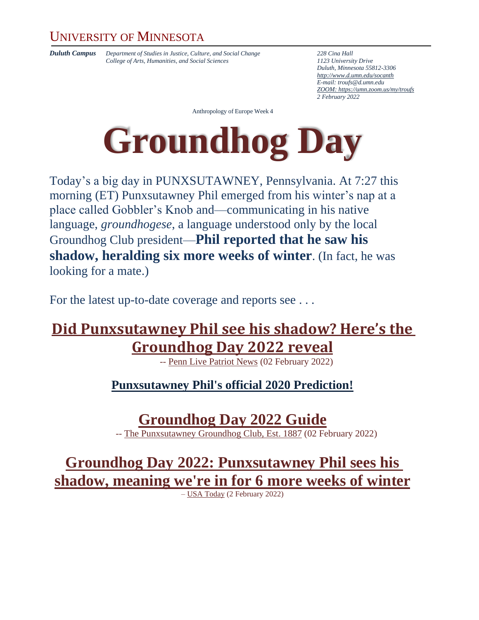### UNIVERSITY OF MINNESOTA

*Duluth Campus Department of Studies in Justice, Culture, and Social Change 228 Cina Hall College of Arts, Humanities, and Social Sciences 1123 University Drive*

*Duluth, Minnesota 55812-3306 <http://www.d.umn.edu/socanth> E-mail: [troufs@d.umn.edu](mailto:troufs@d.umn.edu) ZOOM[: https://umn.zoom.us/my/troufs](https://umn.zoom.us/my/troufs) 2 February 2022*

Anthropology of Europe Week 4



Today's a big day in PUNXSUTAWNEY, Pennsylvania. At 7:27 this morning (ET) Punxsutawney Phil emerged from his winter's nap at a place called Gobbler's Knob and—communicating in his native language, *groundhogese*, a language understood only by the local Groundhog Club president—**Phil reported that he saw his shadow, heralding six more weeks of winter**. (In fact, he was looking for a mate.)

For the latest up-to-date coverage and reports see ...

### **[Did Punxsutawney Phil see his shadow? Here's the](https://www.pennlive.com/life/2022/02/did-punxsutawney-phil-see-his-shadow-heres-the-groundhog-day-2022-reveal.html)  [Groundhog Day 2022 reveal](https://www.pennlive.com/life/2022/02/did-punxsutawney-phil-see-his-shadow-heres-the-groundhog-day-2022-reveal.html)**

-- [Penn Live Patriot News](https://www.pennlive.com/life/2022/02/did-punxsutawney-phil-see-his-shadow-heres-the-groundhog-day-2022-reveal.html) (02 February 2022)

**[Punxsutawney Phil's official 2020 Prediction!](https://www.groundhog.org/prognostication)**

**[Groundhog Day 2022](https://www.groundhog.org/) Guide**

-- The Punxsutawney [Groundhog Club, Est. 1887](https://www.groundhog.org/) (02 February 2022)

**[Groundhog Day 2022: Punxsutawney Phil sees his](https://www.usatoday.com/story/news/nation/2022/02/02/groundhog-day-punxsutawney-phil-sees-shadow/9303576002/)  [shadow, meaning we're in for 6 more weeks of winter](https://www.usatoday.com/story/news/nation/2022/02/02/groundhog-day-punxsutawney-phil-sees-shadow/9303576002/)**

– USA [Today](https://www.usatoday.com/story/news/nation/2022/02/02/groundhog-day-punxsutawney-phil-sees-shadow/9303576002/) (2 February 2022)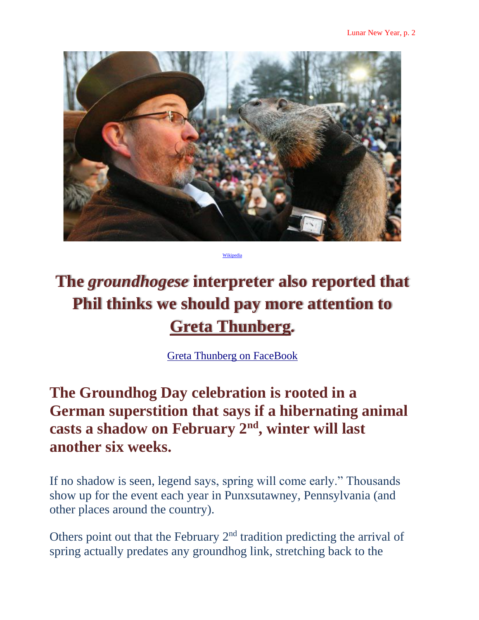

Wiki

# **The** *groundhogese* **interpreter also reported that Phil thinks we should pay more attention to [Greta Thunberg.](https://en.wikipedia.org/wiki/Greta_Thunberg)**

[Greta Thunberg on FaceBook](https://www.facebook.com/gretathunbergsweden/)

# **The Groundhog Day celebration is rooted in a German superstition that says if a hibernating animal casts a shadow on February 2nd, winter will last another six weeks.**

If no shadow is seen, legend says, spring will come early." Thousands show up for the event each year in Punxsutawney, Pennsylvania (and other places around the country).

Others point out that the February 2<sup>nd</sup> tradition predicting the arrival of spring actually predates any groundhog link, stretching back to the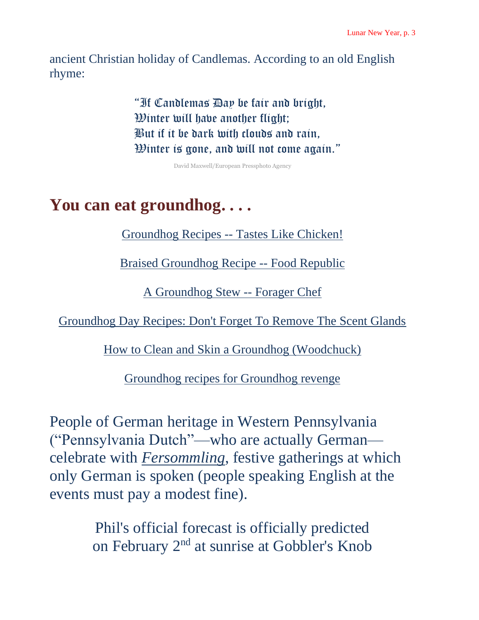ancient Christian holiday of Candlemas. According to an old English rhyme:

> "If Candlemas Day be fair and bright, Winter will have another flight; But if it be dark with clouds and rain, Winter is gone, and will not come again."

> > David Maxwell/European Pressphoto Agency

# **You can eat groundhog. . . .**

[Groundhog Recipes --](http://www.newsmax.com/FastFeatures/Groundhogs-Day-2011-Recipes/2011/02/02/id/384547/) Tastes Like Chicken!

[Braised Groundhog Recipe --](https://www.foodrepublic.com/recipes/braised-groundhog-recipe/) Food Republic

[A Groundhog Stew --](https://foragerchef.com/a-groundhog-stew/) Forager Chef

[Groundhog Day Recipes: Don't Forget To Remove The Scent Glands](https://www.dallasobserver.com/restaurants/groundhog-day-recipes-dont-forget-to-remove-the-scent-glands-7042525)

[How to Clean and Skin a Groundhog \(Woodchuck\)](https://practicalselfreliance.com/clean-skin-groundhog-woodchuck/)

[Groundhog recipes for Groundhog revenge](http://blog.pennlive.com/pa-sportsman/2015/01/groundhog_recipes_for_groundho.html)

People of German heritage in Western Pennsylvania ("Pennsylvania Dutch"—who are actually German celebrate with *[Fersommling](http://en.wikipedia.org/wiki/Fersommling)*, festive gatherings at which only German is spoken (people speaking English at the events must pay a modest fine).

> Phil's official forecast is officially predicted on February 2<sup>nd</sup> at sunrise at Gobbler's Knob